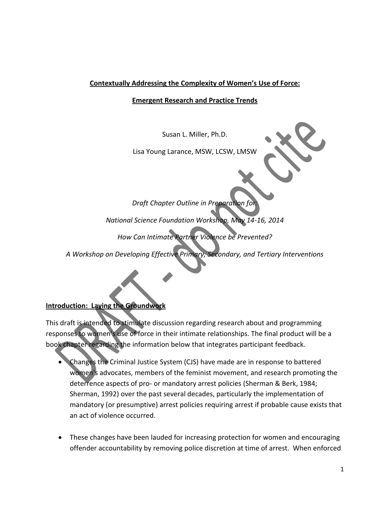## **Contextually Addressing the Complexity of Women's Use of Force:**

#### **Emergent Research and Practice Trends**

Susan L. Miller, Ph.D.

Lisa Young Larance, MSW, LCSW, LMSW

*Draft Chapter Outline in Preparation for:*

*National Science Foundation Workshop, May 14-16, 2014*

*How Can Intimate Partner Violence be Prevented?*

*A Workshop on Developing Effective Primary, Secondary, and Tertiary Interventions*

### **Introduction: Laying the Groundwork**

This draft is intended to stimulate discussion regarding research about and programming responses to women's use of force in their intimate relationships. The final product will be a book chapter regarding the information below that integrates participant feedback.

- Changes the Criminal Justice System (CJS) have made are in response to battered women's advocates, members of the feminist movement, and research promoting the deterrence aspects of pro- or mandatory arrest policies (Sherman & Berk, 1984; Sherman, 1992) over the past several decades, particularly the implementation of mandatory (or presumptive) arrest policies requiring arrest if probable cause exists that an act of violence occurred.
- These changes have been lauded for increasing protection for women and encouraging offender accountability by removing police discretion at time of arrest. When enforced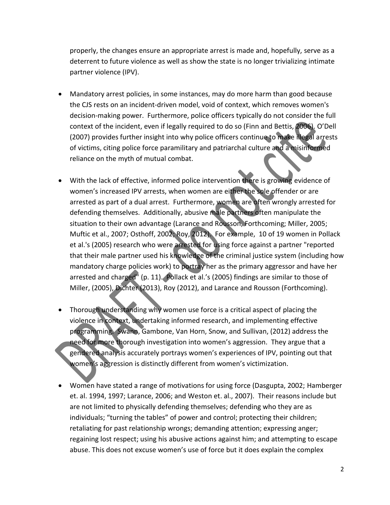properly, the changes ensure an appropriate arrest is made and, hopefully, serve as a deterrent to future violence as well as show the state is no longer trivializing intimate partner violence (IPV).

- Mandatory arrest policies, in some instances, may do more harm than good because the CJS rests on an incident-driven model, void of context, which removes women's decision-making power. Furthermore, police officers typically do not consider the full context of the incident, even if legally required to do so (Finn and Bettis, 2006). O'Dell (2007) provides further insight into why police officers continue to make illegal arrests of victims, citing police force paramilitary and patriarchal culture and a misinformed reliance on the myth of mutual combat.
- With the lack of effective, informed police intervention there is growing evidence of women's increased IPV arrests, when women are either the sole offender or are arrested as part of a dual arrest. Furthermore, women are often wrongly arrested for defending themselves. Additionally, abusive male partners often manipulate the situation to their own advantage (Larance and Rousson, Forthcoming; Miller, 2005; Muftic et al., 2007; Osthoff, 2002; Roy, 2012). For example, 10 of 19 women in Pollack et al.'s (2005) research who were arrested for using force against a partner "reported that their male partner used his knowledge of the criminal justice system (including how mandatory charge policies work) to portray her as the primary aggressor and have her arrested and charged" (p. 11). Pollack et al.'s (2005) findings are similar to those of Miller, (2005), Dichter (2013), Roy (2012), and Larance and Rousson (Forthcoming).
- Thorough understanding why women use force is a critical aspect of placing the violence in context, undertaking informed research, and implementing effective programming. Swann, Gambone, Van Horn, Snow, and Sullivan, (2012) address the need for more thorough investigation into women's aggression. They argue that a gendered analysis accurately portrays women's experiences of IPV, pointing out that women's aggression is distinctly different from women's victimization.
- Women have stated a range of motivations for using force (Dasgupta, 2002; Hamberger et. al. 1994, 1997; Larance, 2006; and Weston et. al., 2007). Their reasons include but are not limited to physically defending themselves; defending who they are as individuals; "turning the tables" of power and control; protecting their children; retaliating for past relationship wrongs; demanding attention; expressing anger; regaining lost respect; using his abusive actions against him; and attempting to escape abuse. This does not excuse women's use of force but it does explain the complex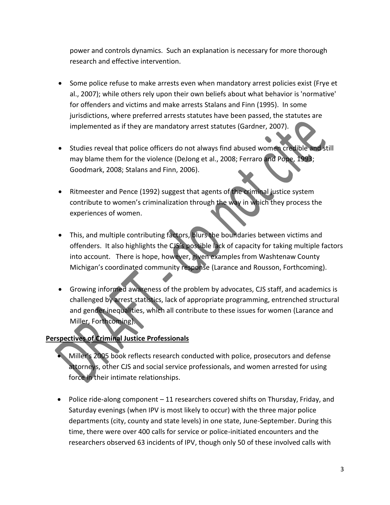power and controls dynamics. Such an explanation is necessary for more thorough research and effective intervention.

- Some police refuse to make arrests even when mandatory arrest policies exist (Frye et al., 2007); while others rely upon their own beliefs about what behavior is 'normative' for offenders and victims and make arrests Stalans and Finn (1995). In some jurisdictions, where preferred arrests statutes have been passed, the statutes are implemented as if they are mandatory arrest statutes (Gardner, 2007).
- Studies reveal that police officers do not always find abused women credible and still may blame them for the violence (DeJong et al., 2008; Ferraro and Pope, 1993; Goodmark, 2008; Stalans and Finn, 2006).
- Ritmeester and Pence (1992) suggest that agents of the criminal justice system contribute to women's criminalization through the way in which they process the experiences of women.
- This, and multiple contributing factors, blurs the boundaries between victims and offenders. It also highlights the CJS's possible lack of capacity for taking multiple factors into account. There is hope, however, given examples from Washtenaw County Michigan's coordinated community response (Larance and Rousson, Forthcoming).
- Growing informed awareness of the problem by advocates, CJS staff, and academics is challenged by arrest statistics, lack of appropriate programming, entrenched structural and gender inequalities, which all contribute to these issues for women (Larance and Miller, Forthcoming).

# **Perspectives of Criminal Justice Professionals**

- Miller's 2005 book reflects research conducted with police, prosecutors and defense attorneys, other CJS and social service professionals, and women arrested for using force in their intimate relationships.
- Police ride-along component 11 researchers covered shifts on Thursday, Friday, and Saturday evenings (when IPV is most likely to occur) with the three major police departments (city, county and state levels) in one state, June-September. During this time, there were over 400 calls for service or police-initiated encounters and the researchers observed 63 incidents of IPV, though only 50 of these involved calls with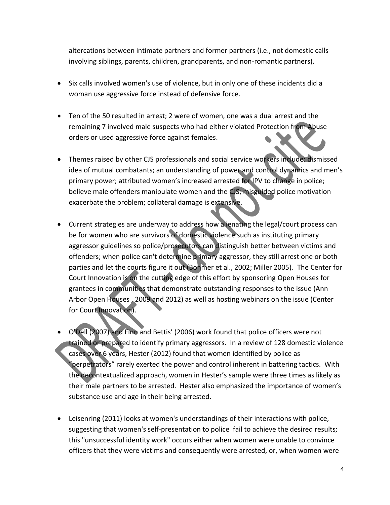altercations between intimate partners and former partners (i.e., not domestic calls involving siblings, parents, children, grandparents, and non-romantic partners).

- Six calls involved women's use of violence, but in only one of these incidents did a woman use aggressive force instead of defensive force.
- Ten of the 50 resulted in arrest; 2 were of women, one was a dual arrest and the remaining 7 involved male suspects who had either violated Protection from Abuse orders or used aggressive force against females.
- Themes raised by other CJS professionals and social service workers include: dismissed idea of mutual combatants; an understanding of power and control dynamics and men's primary power; attributed women's increased arrested for IPV to change in police; believe male offenders manipulate women and the CJS; misguided police motivation exacerbate the problem; collateral damage is extensive.
- Current strategies are underway to address how alienating the legal/court process can be for women who are survivors of domestic violence such as instituting primary aggressor guidelines so police/prosecutors can distinguish better between victims and offenders; when police can't determine primary aggressor, they still arrest one or both parties and let the courts figure it out (Bohmer et al., 2002; Miller 2005). The Center for Court Innovation is on the cutting edge of this effort by sponsoring Open Houses for grantees in communities that demonstrate outstanding responses to the issue (Ann Arbor Open Houses , 2009 and 2012) as well as hosting webinars on the issue (Center for Court Innovation).
- O'Dell (2007) and Finn and Bettis' (2006) work found that police officers were not trained or prepared to identify primary aggressors. In a review of 128 domestic violence cases over 6 years, Hester (2012) found that women identified by police as "perpetrators" rarely exerted the power and control inherent in battering tactics. With the decontextualized approach, women in Hester's sample were three times as likely as their male partners to be arrested. Hester also emphasized the importance of women's substance use and age in their being arrested.
- Leisenring (2011) looks at women's understandings of their interactions with police, suggesting that women's self-presentation to police fail to achieve the desired results; this "unsuccessful identity work" occurs either when women were unable to convince officers that they were victims and consequently were arrested, or, when women were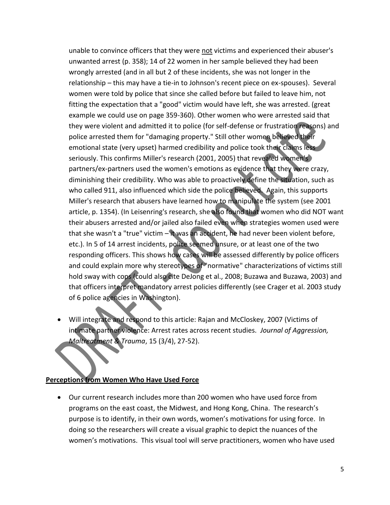unable to convince officers that they were not victims and experienced their abuser's unwanted arrest (p. 358); 14 of 22 women in her sample believed they had been wrongly arrested (and in all but 2 of these incidents, she was not longer in the relationship – this may have a tie-in to Johnson's recent piece on ex-spouses). Several women were told by police that since she called before but failed to leave him, not fitting the expectation that a "good" victim would have left, she was arrested. (great example we could use on page 359-360). Other women who were arrested said that they were violent and admitted it to police (for self-defense or frustration reasons) and police arrested them for "damaging property." Still other women believed their emotional state (very upset) harmed credibility and police took their claims less seriously. This confirms Miller's research (2001, 2005) that revealed women's partners/ex-partners used the women's emotions as evidence that they were crazy, diminishing their credibility. Who was able to proactively define the situation, such as who called 911, also influenced which side the police believed. Again, this supports Miller's research that abusers have learned how to manipulate the system (see 2001 article, p. 1354). (In Leisenring's research, she also found that women who did NOT want their abusers arrested and/or jailed also failed even when strategies women used were that she wasn't a "true" victim – it was an accident, he had never been violent before, etc.). In 5 of 14 arrest incidents, police seemed unsure, or at least one of the two responding officers. This shows how cases will be assessed differently by police officers and could explain more why stereotypes of "normative" characterizations of victims still hold sway with cops (could also cite DeJong et al., 2008; Buzawa and Buzawa, 2003) and that officers interpret mandatory arrest policies differently (see Crager et al. 2003 study of 6 police agencies in Washington).

 Will integrate and respond to this article: Rajan and McCloskey, 2007 (Victims of intimate partner violence: Arrest rates across recent studies. *Journal of Aggression, Maltreatment & Trauma*, 15 (3/4), 27-52).

#### **Perceptions from Women Who Have Used Force**

 Our current research includes more than 200 women who have used force from programs on the east coast, the Midwest, and Hong Kong, China. The research's purpose is to identify, in their own words, women's motivations for using force. In doing so the researchers will create a visual graphic to depict the nuances of the women's motivations. This visual tool will serve practitioners, women who have used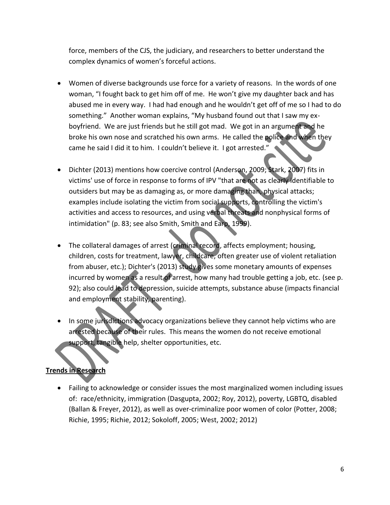force, members of the CJS, the judiciary, and researchers to better understand the complex dynamics of women's forceful actions.

- Women of diverse backgrounds use force for a variety of reasons. In the words of one woman, "I fought back to get him off of me. He won't give my daughter back and has abused me in every way. I had had enough and he wouldn't get off of me so I had to do something." Another woman explains, "My husband found out that I saw my exboyfriend. We are just friends but he still got mad. We got in an argument and he broke his own nose and scratched his own arms. He called the police and when they came he said I did it to him. I couldn't believe it. I got arrested."
- Dichter (2013) mentions how coercive control (Anderson, 2009; Stark, 2007) fits in victims' use of force in response to forms of IPV "that are not as clearly identifiable to outsiders but may be as damaging as, or more damaging than, physical attacks; examples include isolating the victim from social supports, controlling the victim's activities and access to resources, and using verbal threats and nonphysical forms of intimidation" (p. 83; see also Smith, Smith and Earp, 1999).
- The collateral damages of arrest (criminal record, affects employment; housing, children, costs for treatment, lawyer, childcare, often greater use of violent retaliation from abuser, etc.); Dichter's (2013) study gives some monetary amounts of expenses incurred by women as a result of arrest, how many had trouble getting a job, etc. (see p. 92); also could lead to depression, suicide attempts, substance abuse (impacts financial and employment stability, parenting).
- In some jurisdictions advocacy organizations believe they cannot help victims who are arrested because of their rules. This means the women do not receive emotional support, tangible help, shelter opportunities, etc.

# **Trends in Research**

 Failing to acknowledge or consider issues the most marginalized women including issues of: race/ethnicity, immigration (Dasgupta, 2002; Roy, 2012), poverty, LGBTQ, disabled (Ballan & Freyer, 2012), as well as over-criminalize poor women of color (Potter, 2008; Richie, 1995; Richie, 2012; Sokoloff, 2005; West, 2002; 2012)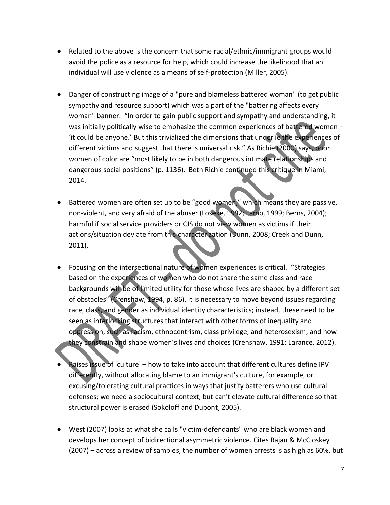- Related to the above is the concern that some racial/ethnic/immigrant groups would avoid the police as a resource for help, which could increase the likelihood that an individual will use violence as a means of self-protection (Miller, 2005).
- Danger of constructing image of a "pure and blameless battered woman" (to get public sympathy and resource support) which was a part of the "battering affects every woman" banner. "In order to gain public support and sympathy and understanding, it was initially politically wise to emphasize the common experiences of battered women -'it could be anyone.' But this trivialized the dimensions that underlie the experiences of different victims and suggest that there is universal risk." As Richie (2000) says, poor women of color are "most likely to be in both dangerous intimate relationships and dangerous social positions" (p. 1136). Beth Richie continued this critique in Miami, 2014.
- Battered women are often set up to be "good women," which means they are passive, non-violent, and very afraid of the abuser (Loseke, 1992; Lamb, 1999; Berns, 2004); harmful if social service providers or CJS do not view women as victims if their actions/situation deviate from this characterization (Dunn, 2008; Creek and Dunn, 2011).
- Focusing on the intersectional nature of women experiences is critical. "Strategies based on the experiences of women who do not share the same class and race backgrounds will be of limited utility for those whose lives are shaped by a different set of obstacles" (Crenshaw, 1994, p. 86). It is necessary to move beyond issues regarding race, class, and gender as individual identity characteristics; instead, these need to be seen as interlocking structures that interact with other forms of inequality and oppression, such as racism, ethnocentrism, class privilege, and heterosexism, and how they constrain and shape women's lives and choices (Crenshaw, 1991; Larance, 2012).
- Raises issue of 'culture' how to take into account that different cultures define IPV differently, without allocating blame to an immigrant's culture, for example, or excusing/tolerating cultural practices in ways that justify batterers who use cultural defenses; we need a sociocultural context; but can't elevate cultural difference so that structural power is erased (Sokoloff and Dupont, 2005).
- West (2007) looks at what she calls "victim-defendants" who are black women and develops her concept of bidirectional asymmetric violence. Cites Rajan & McCloskey (2007) – across a review of samples, the number of women arrests is as high as 60%, but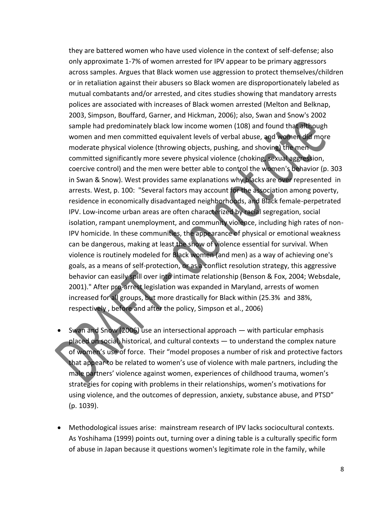they are battered women who have used violence in the context of self-defense; also only approximate 1-7% of women arrested for IPV appear to be primary aggressors across samples. Argues that Black women use aggression to protect themselves/children or in retaliation against their abusers so Black women are disproportionately labeled as mutual combatants and/or arrested, and cites studies showing that mandatory arrests polices are associated with increases of Black women arrested (Melton and Belknap, 2003, Simpson, Bouffard, Garner, and Hickman, 2006); also, Swan and Snow's 2002 sample had predominately black low income women (108) and found that although women and men committed equivalent levels of verbal abuse, and women did more moderate physical violence (throwing objects, pushing, and shoving) the men committed significantly more severe physical violence (choking, sexual aggression, coercive control) and the men were better able to control the women's behavior (p. 303 in Swan & Snow). West provides same explanations why blacks are over represented in arrests. West, p. 100: "Several factors may account for the association among poverty, residence in economically disadvantaged neighborhoods, and Black female-perpetrated IPV. Low-income urban areas are often characterized by racial segregation, social isolation, rampant unemployment, and community violence, including high rates of non-IPV homicide. In these communities, the appearance of physical or emotional weakness can be dangerous, making at least the show of violence essential for survival. When violence is routinely modeled for Black women (and men) as a way of achieving one's goals, as a means of self-protection, or as a conflict resolution strategy, this aggressive behavior can easily spill over into intimate relationship (Benson & Fox, 2004; Websdale, 2001)." After pro-arrest legislation was expanded in Maryland, arrests of women increased for all groups, but more drastically for Black within (25.3% and 38%, respectively , before and after the policy, Simpson et al., 2006)

- Swan and Snow (2006) use an intersectional approach  $-$  with particular emphasis placed on social, historical, and cultural contexts ― to understand the complex nature of women's use of force. Their "model proposes a number of risk and protective factors that appear to be related to women's use of violence with male partners, including the male partners' violence against women, experiences of childhood trauma, women's strategies for coping with problems in their relationships, women's motivations for using violence, and the outcomes of depression, anxiety, substance abuse, and PTSD" (p. 1039).
- Methodological issues arise: mainstream research of IPV lacks sociocultural contexts. As Yoshihama (1999) points out, turning over a dining table is a culturally specific form of abuse in Japan because it questions women's legitimate role in the family, while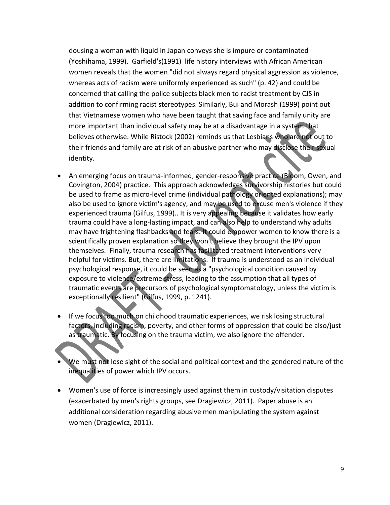dousing a woman with liquid in Japan conveys she is impure or contaminated (Yoshihama, 1999). Garfield's(1991) life history interviews with African American women reveals that the women "did not always regard physical aggression as violence, whereas acts of racism were uniformly experienced as such" (p. 42) and could be concerned that calling the police subjects black men to racist treatment by CJS in addition to confirming racist stereotypes. Similarly, Bui and Morash (1999) point out that Vietnamese women who have been taught that saving face and family unity are more important than individual safety may be at a disadvantage in a system that believes otherwise. While Ristock (2002) reminds us that Lesbians who are not out to their friends and family are at risk of an abusive partner who may disclose their sexual identity.

- An emerging focus on trauma-informed, gender-responsive practice (Bloom, Owen, and Covington, 2004) practice. This approach acknowledges survivorship histories but could be used to frame as micro-level crime (individual pathology oriented explanations); may also be used to ignore victim's agency; and may be used to excuse men's violence if they experienced trauma (Gilfus, 1999).. It is very appealing because it validates how early trauma could have a long-lasting impact, and can also help to understand why adults may have frightening flashbacks and fears. It could empower women to know there is a scientifically proven explanation so they won't believe they brought the IPV upon themselves. Finally, trauma research has facilitated treatment interventions very helpful for victims. But, there are limitations. If trauma is understood as an individual psychological response, it could be seen as a "psychological condition caused by exposure to violence/extreme stress, leading to the assumption that all types of traumatic events are precursors of psychological symptomatology, unless the victim is exceptionally resilient" (Gilfus, 1999, p. 1241).
- If we focus too much on childhood traumatic experiences, we risk losing structural factors, including racism, poverty, and other forms of oppression that could be also/just as traumatic. By focusing on the trauma victim, we also ignore the offender.
- We must not lose sight of the social and political context and the gendered nature of the inequalities of power which IPV occurs.
- Women's use of force is increasingly used against them in custody/visitation disputes (exacerbated by men's rights groups, see Dragiewicz, 2011). Paper abuse is an additional consideration regarding abusive men manipulating the system against women (Dragiewicz, 2011).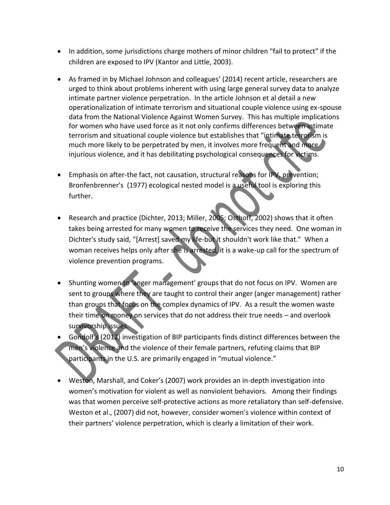- In addition, some jurisdictions charge mothers of minor children "fail to protect" if the children are exposed to IPV (Kantor and Little, 2003).
- As framed in by Michael Johnson and colleagues' (2014) recent article, researchers are urged to think about problems inherent with using large general survey data to analyze intimate partner violence perpetration. In the article Johnson et al detail a new operationalization of intimate terrorism and situational couple violence using ex-spouse data from the National Violence Against Women Survey. This has multiple implications for women who have used force as it not only confirms differences between intimate terrorism and situational couple violence but establishes that "intimate terrorism is much more likely to be perpetrated by men, it involves more frequent and more injurious violence, and it has debilitating psychological consequences for victims.
- Emphasis on after-the fact, not causation, structural reasons for IPV, prevention; Bronfenbrenner's (1977) ecological nested model is a useful tool is exploring this further.
- Research and practice (Dichter, 2013; Miller, 2005; Osthoff, 2002) shows that it often takes being arrested for many women to receive the services they need. One woman in Dichter's study said, "[Arrest] saved my life-but it shouldn't work like that." When a woman receives helps only after she is arrested, it is a wake-up call for the spectrum of violence prevention programs.
- Shunting women to 'anger management' groups that do not focus on IPV. Women are sent to groups where they are taught to control their anger (anger management) rather than groups that focus on the complex dynamics of IPV. As a result the women waste their time on money on services that do not address their true needs – and overlook survivorship issues.
- Gondolf's (2012) investigation of BIP participants finds distinct differences between the men's violence and the violence of their female partners, refuting claims that BIP participants in the U.S. are primarily engaged in "mutual violence."
- Weston, Marshall, and Coker's (2007) work provides an in-depth investigation into women's motivation for violent as well as nonviolent behaviors. Among their findings was that women perceive self-protective actions as more retaliatory than self-defensive. Weston et al., (2007) did not, however, consider women's violence within context of their partners' violence perpetration, which is clearly a limitation of their work.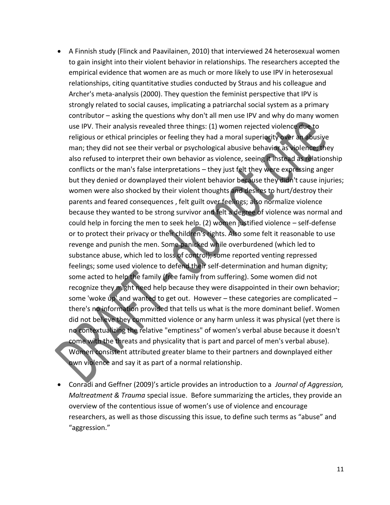- A Finnish study (Flinck and Paavilainen, 2010) that interviewed 24 heterosexual women to gain insight into their violent behavior in relationships. The researchers accepted the empirical evidence that women are as much or more likely to use IPV in heterosexual relationships, citing quantitative studies conducted by Straus and his colleague and Archer's meta-analysis (2000). They question the feminist perspective that IPV is strongly related to social causes, implicating a patriarchal social system as a primary contributor – asking the questions why don't all men use IPV and why do many women use IPV. Their analysis revealed three things: (1) women rejected violence due to religious or ethical principles or feeling they had a moral superiority over an abusive man; they did not see their verbal or psychological abusive behavior as violence; they also refused to interpret their own behavior as violence, seeing it instead as relationship conflicts or the man's false interpretations – they just felt they were expressing anger but they denied or downplayed their violent behavior because they didn't cause injuries; women were also shocked by their violent thoughts and desires to hurt/destroy their parents and feared consequences , felt guilt over feelings; also normalize violence because they wanted to be strong survivor and felt a degree of violence was normal and could help in forcing the men to seek help. (2) women justified violence – self-defense or to protect their privacy or their children's rights. Also some felt it reasonable to use revenge and punish the men. Some panicked while overburdened (which led to substance abuse, which led to loss of control); some reported venting repressed feelings; some used violence to defend their self-determination and human dignity; some acted to help the family (free family from suffering). Some women did not recognize they might need help because they were disappointed in their own behavior; some 'woke up' and wanted to get out. However – these categories are complicated – there's no information provided that tells us what is the more dominant belief. Women did not believe they committed violence or any harm unless it was physical (yet there is no contextualizing the relative "emptiness" of women's verbal abuse because it doesn't come with the threats and physicality that is part and parcel of men's verbal abuse). Women consistent attributed greater blame to their partners and downplayed either own violence and say it as part of a normal relationship.
- Conradi and Geffner (2009)'s article provides an introduction to a *Journal of Aggression, Maltreatment & Trauma* special issue. Before summarizing the articles, they provide an overview of the contentious issue of women's use of violence and encourage researchers, as well as those discussing this issue, to define such terms as "abuse" and "aggression."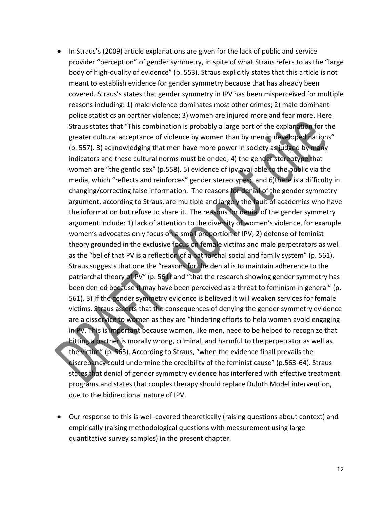- In Straus's (2009) article explanations are given for the lack of public and service provider "perception" of gender symmetry, in spite of what Straus refers to as the "large body of high-quality of evidence" (p. 553). Straus explicitly states that this article is not meant to establish evidence for gender symmetry because that has already been covered. Straus's states that gender symmetry in IPV has been misperceived for multiple reasons including: 1) male violence dominates most other crimes; 2) male dominant police statistics an partner violence; 3) women are injured more and fear more. Here Straus states that "This combination is probably a large part of the explanation for the greater cultural acceptance of violence by women than by men in developed nations" (p. 557). 3) acknowledging that men have more power in society as judged by many indicators and these cultural norms must be ended; 4) the gender stereotype that women are "the gentle sex" (p.558). 5) evidence of ipv available to the public via the media, which "reflects and reinforces" gender stereotypes; and 6)there is a difficulty in changing/correcting false information. The reasons for denial of the gender symmetry argument, according to Straus, are multiple and largely the fault of academics who have the information but refuse to share it. The reasons for denial of the gender symmetry argument include: 1) lack of attention to the diversity of women's violence, for example women's advocates only focus on a small proportion of IPV; 2) defense of feminist theory grounded in the exclusive focus on female victims and male perpetrators as well as the "belief that PV is a reflection of a patriarchal social and family system" (p. 561). Straus suggests that one the "reasons for the denial is to maintain adherence to the patriarchal theory of PV" (p. 561) and "that the research showing gender symmetry has been denied because it may have been perceived as a threat to feminism in general" (p. 561). 3) If the gender symmetry evidence is believed it will weaken services for female victims. Straus asserts that the consequences of denying the gender symmetry evidence are a disservice to women as they are "hindering efforts to help women avoid engaging in PV. This is important because women, like men, need to be helped to recognize that hitting a partner is morally wrong, criminal, and harmful to the perpetrator as well as the victim" (p. 563). According to Straus, "when the evidence finall prevails the discrepancy could undermine the credibility of the feminist cause" (p.563-64). Straus states that denial of gender symmetry evidence has interfered with effective treatment programs and states that couples therapy should replace Duluth Model intervention, due to the bidirectional nature of IPV.
- Our response to this is well-covered theoretically (raising questions about context) and empirically (raising methodological questions with measurement using large quantitative survey samples) in the present chapter.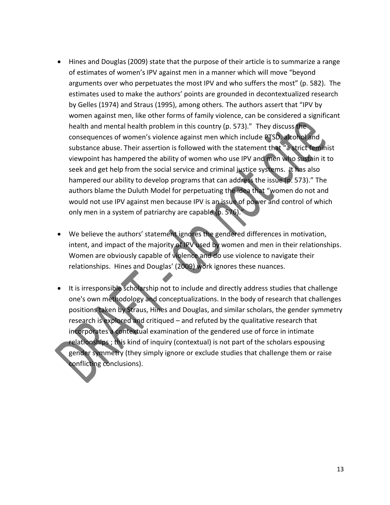- Hines and Douglas (2009) state that the purpose of their article is to summarize a range of estimates of women's IPV against men in a manner which will move "beyond arguments over who perpetuates the most IPV and who suffers the most" (p. 582). The estimates used to make the authors' points are grounded in decontextualized research by Gelles (1974) and Straus (1995), among others. The authors assert that "IPV by women against men, like other forms of family violence, can be considered a significant health and mental health problem in this country (p. 573)." They discuss the consequences of women's violence against men which include PTSD, alcohol and substance abuse. Their assertion is followed with the statement that "a strict feminist viewpoint has hampered the ability of women who use IPV and men who sustain it to seek and get help from the social service and criminal justice systems. It has also hampered our ability to develop programs that can address the issue (p. 573)." The authors blame the Duluth Model for perpetuating the idea that "women do not and would not use IPV against men because IPV is an issue of power and control of which only men in a system of patriarchy are capable (p. 576).
- We believe the authors' statement ignores the gendered differences in motivation, intent, and impact of the majority of IPV used by women and men in their relationships. Women are obviously capable of violence and do use violence to navigate their relationships. Hines and Douglas' (2009) work ignores these nuances.
- It is irresponsible scholarship not to include and directly address studies that challenge one's own methodology and conceptualizations. In the body of research that challenges positions taken by Straus, Hines and Douglas, and similar scholars, the gender symmetry research is explored and critiqued – and refuted by the qualitative research that incorporates a contextual examination of the gendered use of force in intimate relationships ; this kind of inquiry (contextual) is not part of the scholars espousing gender symmetry (they simply ignore or exclude studies that challenge them or raise conflicting conclusions).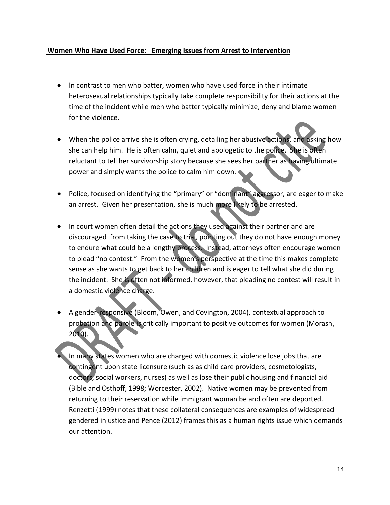#### **Women Who Have Used Force: Emerging Issues from Arrest to Intervention**

- In contrast to men who batter, women who have used force in their intimate heterosexual relationships typically take complete responsibility for their actions at the time of the incident while men who batter typically minimize, deny and blame women for the violence.
- When the police arrive she is often crying, detailing her abusive actions, and asking how she can help him. He is often calm, quiet and apologetic to the police. She is often reluctant to tell her survivorship story because she sees her partner as having ultimate power and simply wants the police to calm him down.
- Police, focused on identifying the "primary" or "dominant" aggressor, are eager to make an arrest. Given her presentation, she is much more likely to be arrested.
- In court women often detail the actions they used against their partner and are discouraged from taking the case to trial, pointing out they do not have enough money to endure what could be a lengthy process. Instead, attorneys often encourage women to plead "no contest." From the women's perspective at the time this makes complete sense as she wants to get back to her children and is eager to tell what she did during the incident. She is often not informed, however, that pleading no contest will result in a domestic violence charge.
- A gender-responsive (Bloom, Owen, and Covington, 2004), contextual approach to probation and parole is critically important to positive outcomes for women (Morash, 2010).
- In many states women who are charged with domestic violence lose jobs that are contingent upon state licensure (such as as child care providers, cosmetologists, doctors, social workers, nurses) as well as lose their public housing and financial aid (Bible and Osthoff, 1998; Worcester, 2002). Native women may be prevented from returning to their reservation while immigrant woman be and often are deported. Renzetti (1999) notes that these collateral consequences are examples of widespread gendered injustice and Pence (2012) frames this as a human rights issue which demands our attention.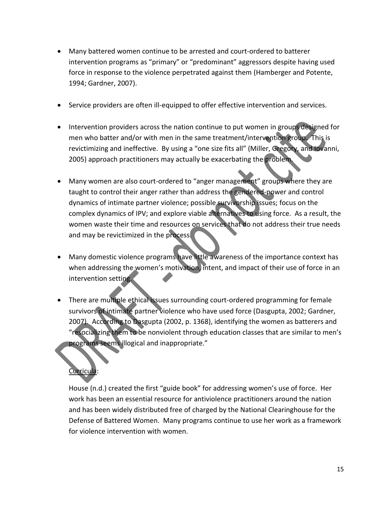- Many battered women continue to be arrested and court-ordered to batterer intervention programs as "primary" or "predominant" aggressors despite having used force in response to the violence perpetrated against them (Hamberger and Potente, 1994; Gardner, 2007).
- Service providers are often ill-equipped to offer effective intervention and services.
- Intervention providers across the nation continue to put women in groups designed for men who batter and/or with men in the same treatment/intervention group. This is revictimizing and ineffective. By using a "one size fits all" (Miller, Gregory, and Iovanni, 2005) approach practitioners may actually be exacerbating the problem.
- Many women are also court-ordered to "anger management" groups where they are taught to control their anger rather than address the gendered-power and control dynamics of intimate partner violence; possible survivorship issues; focus on the complex dynamics of IPV; and explore viable alternatives to using force. As a result, the women waste their time and resources on services that do not address their true needs and may be revictimized in the process.
- Many domestic violence programs have little awareness of the importance context has when addressing the women's motivation, intent, and impact of their use of force in an intervention setting.
- There are multiple ethical issues surrounding court-ordered programming for female survivors of intimate partner violence who have used force (Dasgupta, 2002; Gardner, 2007). According to Dasgupta (2002, p. 1368), identifying the women as batterers and "resocializing them to be nonviolent through education classes that are similar to men's programs seems illogical and inappropriate."

# Curricula:

House (n.d.) created the first "guide book" for addressing women's use of force. Her work has been an essential resource for antiviolence practitioners around the nation and has been widely distributed free of charged by the National Clearinghouse for the Defense of Battered Women. Many programs continue to use her work as a framework for violence intervention with women.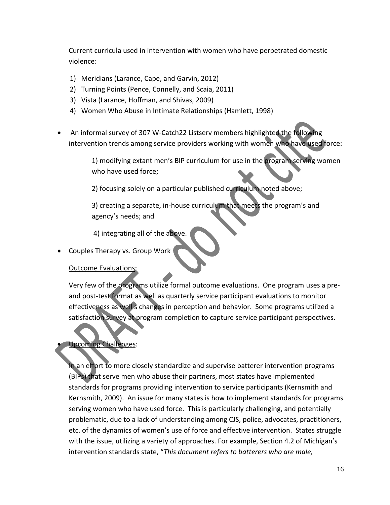Current curricula used in intervention with women who have perpetrated domestic violence:

- 1) Meridians (Larance, Cape, and Garvin, 2012)
- 2) Turning Points (Pence, Connelly, and Scaia, 2011)
- 3) Vista (Larance, Hoffman, and Shivas, 2009)
- 4) Women Who Abuse in Intimate Relationships (Hamlett, 1998)
- An informal survey of 307 W-Catch22 Listserv members highlighted the following intervention trends among service providers working with women who have used force:

1) modifying extant men's BIP curriculum for use in the program serving women who have used force;

2) focusing solely on a particular published curriculum noted above;

3) creating a separate, in-house curriculum that meets the program's and agency's needs; and

4) integrating all of the above.

Couples Therapy vs. Group Work

#### Outcome Evaluations:

Very few of the programs utilize formal outcome evaluations. One program uses a preand post-test format as well as quarterly service participant evaluations to monitor effectiveness as well s changes in perception and behavior. Some programs utilized a satisfaction survey at program completion to capture service participant perspectives.

### Upcoming Challenges:

In an effort to more closely standardize and supervise batterer intervention programs (BIPs) that serve men who abuse their partners, most states have implemented standards for programs providing intervention to service participants (Kernsmith and Kernsmith, 2009). An issue for many states is how to implement standards for programs serving women who have used force. This is particularly challenging, and potentially problematic, due to a lack of understanding among CJS, police, advocates, practitioners, etc. of the dynamics of women's use of force and effective intervention. States struggle with the issue, utilizing a variety of approaches. For example, Section 4.2 of Michigan's intervention standards state, "*This document refers to batterers who are male,*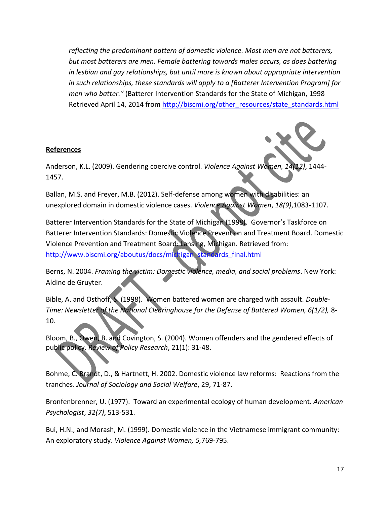*reflecting the predominant pattern of domestic violence. Most men are not batterers, but most batterers are men. Female battering towards males occurs, as does battering in lesbian and gay relationships, but until more is known about appropriate intervention in such relationships, these standards will apply to a [Batterer Intervention Program] for men who batter."* (Batterer Intervention Standards for the State of Michigan, 1998 Retrieved April 14, 2014 from [http://biscmi.org/other\\_resources/state\\_standards.html](http://biscmi.org/other_resources/state_standards.html)

#### **References**



Anderson, K.L. (2009). Gendering coercive control. *Violence Against Women, 14(12)*, 1444- 1457.

Ballan, M.S. and Freyer, M.B. (2012). Self-defense among women with disabilities: an unexplored domain in domestic violence cases. *Violence Against Women*, *18(9)*,1083-1107.

Batterer Intervention Standards for the State of Michigan (1998). Governor's Taskforce on Batterer Intervention Standards: Domestic Violence Prevention and Treatment Board. Domestic Violence Prevention and Treatment Board: Lansing, Michigan. Retrieved from: [http://www.biscmi.org/aboutus/docs/michigan\\_standards\\_final.html](http://www.biscmi.org/aboutus/docs/michigan_standards_final.html)

Berns, N. 2004. *Framing the victim: Domestic violence, media, and social problems*. New York: Aldine de Gruyter.

Bible, A. and Osthoff, S. (1998). Women battered women are charged with assault. *Double-Time: Newsletter of the National Clearinghouse for the Defense of Battered Women, 6(1/2),* 8- 10.

Bloom, B., Owen, B. and Covington, S. (2004). Women offenders and the gendered effects of public policy. *Review of Policy Research*, 21(1): 31-48.

Bohme, C. Brandt, D., & Hartnett, H. 2002. Domestic violence law reforms: Reactions from the tranches. *Journal of Sociology and Social Welfare*, 29, 71-87.

Bronfenbrenner, U. (1977). Toward an experimental ecology of human development*. American Psychologist*, *32(7)*, 513-531.

Bui, H.N., and Morash, M. (1999). Domestic violence in the Vietnamese immigrant community: An exploratory study. *Violence Against Women, 5,*769-795.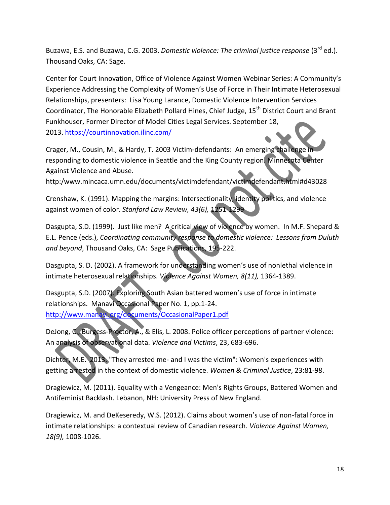Buzawa, E.S. and Buzawa, C.G. 2003. *Domestic violence: The criminal justice response* (3rd ed.). Thousand Oaks, CA: Sage.

Center for Court Innovation, Office of Violence Against Women Webinar Series: A Community's Experience Addressing the Complexity of Women's Use of Force in Their Intimate Heterosexual Relationships, presenters: Lisa Young Larance, Domestic Violence Intervention Services Coordinator, The Honorable Elizabeth Pollard Hines, Chief Judge, 15<sup>th</sup> District Court and Brant Funkhouser, Former Director of Model Cities Legal Services. September 18, 2013. <https://courtinnovation.ilinc.com/>

Crager, M., Cousin, M., & Hardy, T. 2003 Victim-defendants: An emerging challenge in responding to domestic violence in Seattle and the King County region. Minnesota Center Against Violence and Abuse.

http:/www.mincaca.umn.edu/documents/victimdefendant/victimdefendant.html#d43028

Crenshaw, K. (1991). Mapping the margins: Intersectionality, identity politics, and violence against women of color. *Stanford Law Review, 43(6),* 1251-1299

Dasgupta, S.D. (1999). Just like men? A critical view of violence by women. In M.F. Shepard & E.L. Pence (eds.), *Coordinating community response to domestic violence: Lessons from Duluth and beyond*, Thousand Oaks, CA: Sage Publications, 195-222.

Dasgupta, S. D. (2002). A framework for understanding women's use of nonlethal violence in intimate heterosexual relationships. *Violence Against Women, 8(11),* 1364-1389.

Dasgupta, S.D. (2007). Exploring South Asian battered women's use of force in intimate relationships. Manavi Occasional Paper No. 1, pp.1-24. <http://www.manavi.org/documents/OccasionalPaper1.pdf>

DeJong, C., Burgess-Proctor, A., & Elis, L. 2008. Police officer perceptions of partner violence: An analysis of observational data. *Violence and Victims*, 23, 683-696.

Dichter, M.E. 2013. "They arrested me- and I was the victim": Women's experiences with getting arrested in the context of domestic violence. *Women & Criminal Justice*, 23:81-98.

Dragiewicz, M. (2011). Equality with a Vengeance: Men's Rights Groups, Battered Women and Antifeminist Backlash. Lebanon, NH: University Press of New England.

Dragiewicz, M. and DeKeseredy, W.S. (2012). Claims about women's use of non-fatal force in intimate relationships: a contextual review of Canadian research. *Violence Against Women, 18(9),* 1008-1026.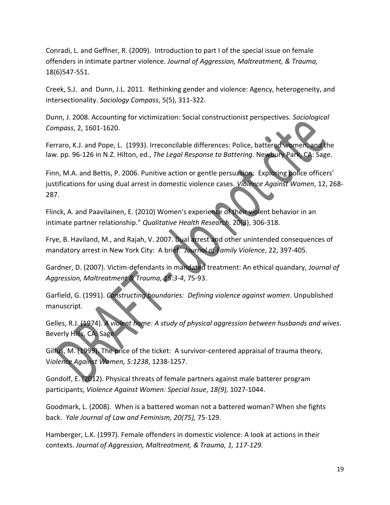Conradi, L. and Geffner, R. (2009). Introduction to part I of the special issue on female offenders in intimate partner violence. *Journal of Aggression, Maltreatment, & Trauma,* 18(6)547-551.

Creek, S.J. and Dunn, J.L. 2011. Rethinking gender and violence: Agency, heterogeneity, and intersectionality. *Sociology Compass*, 5(5), 311-322.

Dunn, J. 2008. Accounting for victimization: Social constructionist perspectives. *Sociological Compass*, 2, 1601-1620.

Ferraro, K.J. and Pope, L. (1993). Irreconcilable differences: Police, battered women, and the law. pp. 96-126 in N.Z. Hilton, ed., *The Legal Response to Battering*. Newbury Park, CA: Sage.

Finn, M.A. and Bettis, P. 2006. Punitive action or gentle persuasion: Exploring police officers' justifications for using dual arrest in domestic violence cases. *Violence Against Women*, 12, 268- 287.

Flinck, A. and Paavilainen, E. (2010) Women's experience of their violent behavior in an intimate partner relationship." *Qualitative Health Research*. 20(3), 306-318.

Frye, B. Haviland, M., and Rajah, V. 2007. Dual arrest and other unintended consequences of mandatory arrest in New York City: A brief. *Journal of Family Violence*, 22, 397-405.

Gardner, D. (2007). Victim-defendants in mandated treatment: An ethical quandary, *Journal of Aggression, Maltreatment & Trauma, 15:3-4*, 75-93.

Garfield, G. (1991). *Constructing boundaries: Defining violence against women*. Unpublished manuscript.

Gelles, R.J. (1974). *A violent home: A study of physical aggression between husbands and wives*. Beverly Hills, CA: Sage.

Gilfus, M. (1999). The price of the ticket: A survivor-centered appraisal of trauma theory, V*iolence Against Women, 5:1238*, 1238-1257.

Gondolf, E. (2012). Physical threats of female partners against male batterer program participants, *Violence Against Women: Special Issue*, *18(9),* 1027-1044.

Goodmark, L. (2008). When is a battered woman not a battered woman? When she fights back. *Yale Journal of Law and Feminism, 20(75),* 75-129.

Hamberger, L.K. (1997). Female offenders in domestic violence: A look at actions in their contexts. *Journal of Aggression, Maltreatment, & Trauma, 1, 117-129.*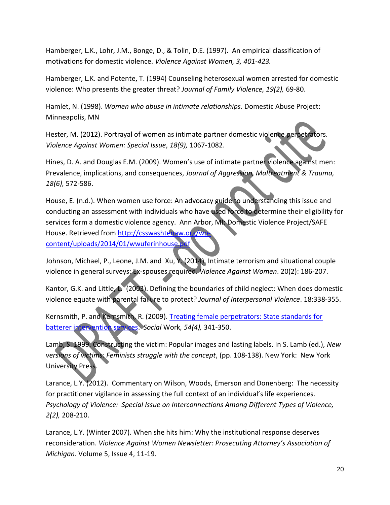Hamberger, L.K., Lohr, J.M., Bonge, D., & Tolin, D.E. (1997). An empirical classification of motivations for domestic violence. *Violence Against Women, 3, 401-423.*

Hamberger, L.K. and Potente, T. (1994) Counseling heterosexual women arrested for domestic violence: Who presents the greater threat? *Journal of Family Violence, 19(2),* 69-80.

Hamlet, N. (1998). *Women who abuse in intimate relationships*. Domestic Abuse Project: Minneapolis, MN

Hester, M. (2012). Portrayal of women as intimate partner domestic violence perpetrators. *Violence Against Women: Special Issue*, *18(9),* 1067-1082.

Hines, D. A. and Douglas E.M. (2009). Women's use of intimate partner violence against men: Prevalence, implications, and consequences, *Journal of Aggression, Maltreatment & Trauma, 18(6),* 572-586.

House, E. (n.d.). When women use force: An advocacy guide to understanding this issue and conducting an assessment with individuals who have used force to determine their eligibility for services form a domestic violence agency. Ann Arbor, MI: Domestic Violence Project/SAFE House. Retrieved from [http://csswashtenaw.org/wp](http://csswashtenaw.org/wp-content/uploads/2014/01/wwuferinhouse.pdf)[content/uploads/2014/01/wwuferinhouse.pdf](http://csswashtenaw.org/wp-content/uploads/2014/01/wwuferinhouse.pdf)

Johnson, Michael, P., Leone, J.M. and Xu, Y. (2014). Intimate terrorism and situational couple violence in general surveys: Ex-spouses required. *Violence Against Women*. 20(2): 186-207.

Kantor, G.K. and Little, L. (2003). Defining the boundaries of child neglect: When does domestic violence equate with parental failure to protect? *Journal of Interpersonal Violence*. 18:338-355.

Kernsmith, P. and Kernsmith, R. (2009). [Treating female perpetrators: State standards for](javascript:void(0);/*1259411551928*/)  [batterer intervention services.](javascript:void(0);/*1259411551928*/) *Social* Work*, 54(4),* 341-350.

Lamb, S. 1999. Constructing the victim: Popular images and lasting labels. In S. Lamb (ed.), *New versions of victims: Feminists struggle with the concept*, (pp. 108-138). New York: New York University Press.

Larance, L.Y. (2012). Commentary on Wilson, Woods, Emerson and Donenberg: The necessity for practitioner vigilance in assessing the full context of an individual's life experiences. *Psychology of Violence: Special Issue on Interconnections Among Different Types of Violence, 2(2),* 208-210.

Larance, L.Y. (Winter 2007). When she hits him: Why the institutional response deserves reconsideration. *Violence Against Women Newsletter: Prosecuting Attorney's Association of Michigan*. Volume 5, Issue 4, 11-19.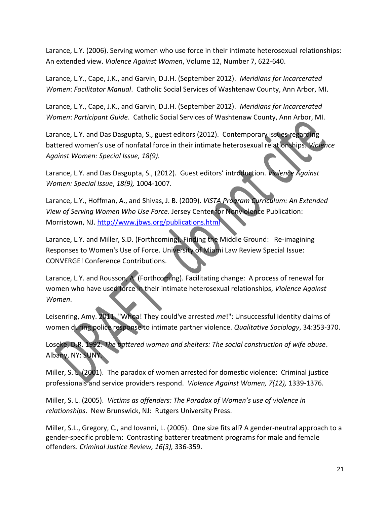Larance, L.Y. (2006). Serving women who use force in their intimate heterosexual relationships: An extended view. *Violence Against Women*, Volume 12, Number 7, 622-640.

Larance, L.Y., Cape, J.K., and Garvin, D.J.H. (September 2012). *Meridians for Incarcerated Women*: *Facilitator Manual*. Catholic Social Services of Washtenaw County, Ann Arbor, MI.

Larance, L.Y., Cape, J.K., and Garvin, D.J.H. (September 2012). *Meridians for Incarcerated Women*: *Participant Guide*. Catholic Social Services of Washtenaw County, Ann Arbor, MI.

Larance, L.Y. and Das Dasgupta, S., guest editors (2012). Contemporary issues regarding battered women's use of nonfatal force in their intimate heterosexual relationships. *Violence Against Women: Special Issue, 18(9).*

Larance, L.Y. and Das Dasgupta, S., (2012). Guest editors' introduction. *Violence Against Women: Special Issue*, *18(9),* 1004-1007.

Larance, L.Y., Hoffman, A., and Shivas, J. B. (2009). *VISTA Program Curriculum: An Extended View of Serving Women Who Use Force*. Jersey Center for Nonviolence Publication: Morristown, NJ[. http://www.jbws.org/publications.html](http://www.jbws.org/publications.html)

Larance, L.Y. and Miller, S.D. (Forthcoming). Finding the Middle Ground: Re-imagining Responses to Women's Use of Force. University of Miami Law Review Special Issue: CONVERGE! Conference Contributions.

Larance, L.Y. and Rousson, A. (Forthcoming). Facilitating change: A process of renewal for women who have used force in their intimate heterosexual relationships, *Violence Against Women*.

Leisenring, Amy. 2011. "Whoa! They could've arrested *me*!": Unsuccessful identity claims of women during police response to intimate partner violence. *Qualitative Sociology*, 34:353-370.

Loseke, D.R. 1992. *The battered women and shelters: The social construction of wife abuse*. Albany, NY: SUNY.

Miller, S. L. (2001). The paradox of women arrested for domestic violence: Criminal justice professionals and service providers respond. *Violence Against Women, 7(12),* 1339-1376.

Miller, S. L. (2005). *Victims as offenders: The Paradox of Women's use of violence in relationships*. New Brunswick, NJ: Rutgers University Press.

Miller, S.L., Gregory, C., and Iovanni, L. (2005). One size fits all? A gender-neutral approach to a gender-specific problem: Contrasting batterer treatment programs for male and female offenders. *Criminal Justice Review, 16(3),* 336-359.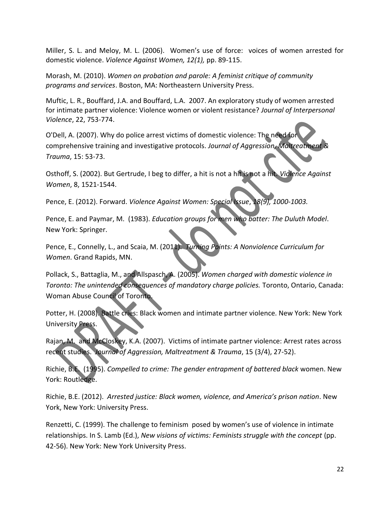Miller, S. L. and Meloy, M. L. (2006). Women's use of force: voices of women arrested for domestic violence. *Violence Against Women, 12(1),* pp. 89-115.

Morash, M. (2010). *Women on probation and parole: A feminist critique of community programs and services*. Boston, MA: Northeastern University Press.

Muftic, L. R., Bouffard, J.A. and Bouffard, L.A. 2007. An exploratory study of women arrested for intimate partner violence: Violence women or violent resistance? *Journal of Interpersonal Violence*, 22, 753-774.

O'Dell, A. (2007). Why do police arrest victims of domestic violence: The need for comprehensive training and investigative protocols. *Journal of Aggression, Maltreatment & Trauma*, 15: 53-73.

Osthoff, S. (2002). But Gertrude, I beg to differ, a hit is not a hit is not a hit. *Violence Against Women*, 8, 1521-1544.

Pence, E. (2012). Forward. *Violence Against Women: Special Issue*, *18(9), 1000-1003.*

Pence, E. and Paymar, M. (1983). *Education groups for men who batter: The Duluth Model*. New York: Springer.

Pence, E., Connelly, L., and Scaia, M. (2011). *Turning Points: A Nonviolence Curriculum for Women*. Grand Rapids, MN.

Pollack, S., Battaglia, M., and Allspasch, A. (2005). *Women charged with domestic violence in Toronto: The unintended consequences of mandatory charge policies.* Toronto, Ontario, Canada: Woman Abuse Council of Toronto.

Potter, H. (2008). Battle cries: Black women and intimate partner violence. New York: New York University Press.

Rajan, M. and McCloskey, K.A. (2007). Victims of intimate partner violence: Arrest rates across recent studies. *Journal of Aggression, Maltreatment & Trauma*, 15 (3/4), 27-52).

Richie, B.E. (1995). *Compelled to crime: The gender entrapment of battered black* women. New York: Routledge.

Richie, B.E. (2012). *Arrested justice: Black women, violence, and America's prison nation*. New York, New York: University Press.

Renzetti, C. (1999). The challenge to feminism posed by women's use of violence in intimate relationships. In S. Lamb (Ed.), *New visions of victims: Feminists struggle with the concept* (pp. 42-56). New York: New York University Press.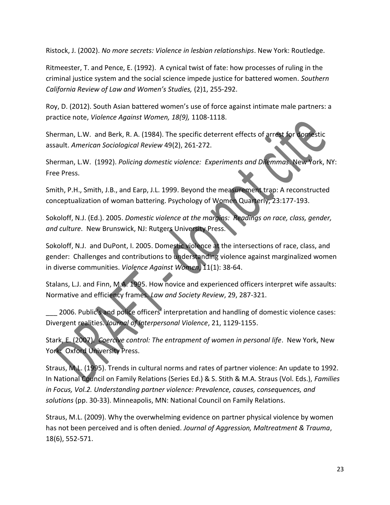Ristock, J. (2002). *No more secrets: Violence in lesbian relationships*. New York: Routledge.

Ritmeester, T. and Pence, E. (1992). A cynical twist of fate: how processes of ruling in the criminal justice system and the social science impede justice for battered women. *Southern California Review of Law and Women's Studies,* (2)1, 255-292.

Roy, D. (2012). South Asian battered women's use of force against intimate male partners: a practice note, *Violence Against Women, 18(9),* 1108-1118.

Sherman, L.W. and Berk, R. A. (1984). The specific deterrent effects of arrest for domestic assault. *American Sociological Review* 49(2), 261-272.

Sherman, L.W. (1992). *Policing domestic violence: Experiments and Dilemmas*. New York, NY: Free Press.

Smith, P.H., Smith, J.B., and Earp, J.L. 1999. Beyond the measurement trap: A reconstructed conceptualization of woman battering. Psychology of Women Quarterly, 23:177-193.

Sokoloff, N.J. (Ed.). 2005. *Domestic violence at the margins: Readings on race, class, gender, and culture*. New Brunswick, NJ: Rutgers University Press.

Sokoloff, N.J. and DuPont, I. 2005. Domestic violence at the intersections of race, class, and gender: Challenges and contributions to understanding violence against marginalized women in diverse communities. *Violence Against Women*, 11(1): 38-64.

Stalans, L.J. and Finn, M.A. 1995. How novice and experienced officers interpret wife assaults: Normative and efficiency frames. *Law and Society Review*, 29, 287-321.

2006. Public's and police officers' interpretation and handling of domestic violence cases: Divergent realities. *Journal of Interpersonal Violence*, 21, 1129-1155.

Stark, E. (2007). *Coercive control: The entrapment of women in personal life*. New York, New York: Oxford University Press.

Straus, M.L. (1995). Trends in cultural norms and rates of partner violence: An update to 1992. In National Council on Family Relations (Series Ed.) & S. Stith & M.A. Straus (Vol. Eds.), *Families in Focus, Vol.2. Understanding partner violence: Prevalence, causes, consequences, and solutions* (pp. 30-33). Minneapolis, MN: National Council on Family Relations.

Straus, M.L. (2009). Why the overwhelming evidence on partner physical violence by women has not been perceived and is often denied. *Journal of Aggression, Maltreatment & Trauma*, 18(6), 552-571.